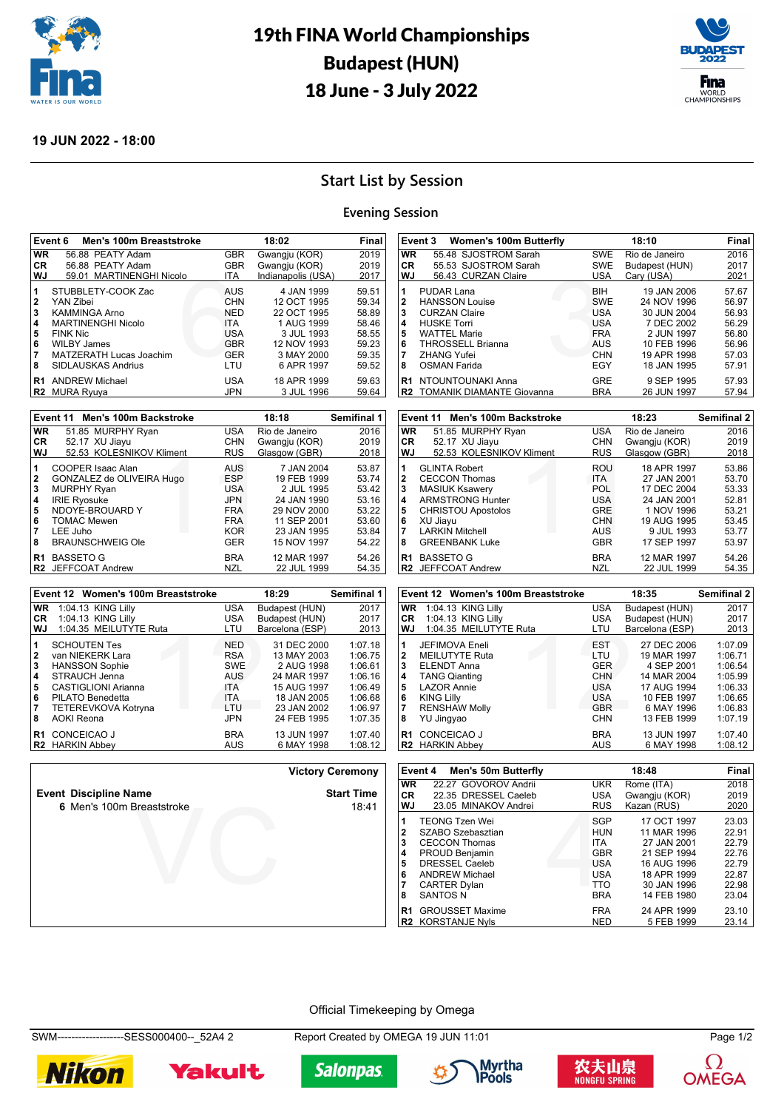

# 19th FINA World Championships Budapest (HUN) 18 June - 3 July 2022



### **19 JUN 2022 - 18:00**

### **Start List by Session**

### **Evening Session**

|                                      | Event 6<br>Men's 100m Breaststroke                                                                                                                                             |                                                                                                | 18:02                                                                                                           | Final                                                                |
|--------------------------------------|--------------------------------------------------------------------------------------------------------------------------------------------------------------------------------|------------------------------------------------------------------------------------------------|-----------------------------------------------------------------------------------------------------------------|----------------------------------------------------------------------|
| <b>WR</b>                            | 56.88 PEATY Adam                                                                                                                                                               | <b>GBR</b>                                                                                     | Gwangju (KOR)                                                                                                   | 2019                                                                 |
| <b>CR</b>                            | 56.88 PEATY Adam                                                                                                                                                               | <b>GBR</b>                                                                                     | Gwangju (KOR)                                                                                                   | 2019                                                                 |
| WJ                                   | 59.01 MARTINENGHI Nicolo                                                                                                                                                       | <b>ITA</b>                                                                                     | Indianapolis (USA)                                                                                              | 2017                                                                 |
| 1<br>2<br>3<br>4<br>5<br>6<br>7<br>8 | STUBBLETY-COOK Zac<br>YAN Zibei<br><b>KAMMINGA Arno</b><br><b>MARTINENGHI Nicolo</b><br><b>FINK Nic</b><br><b>WILBY James</b><br>MATZERATH Lucas Joachim<br>SIDLAUSKAS Andrius | AUS<br><b>CHN</b><br><b>NED</b><br><b>ITA</b><br><b>USA</b><br><b>GBR</b><br><b>GER</b><br>LTU | 4 JAN 1999<br>12 OCT 1995<br>22 OCT 1995<br>1 AUG 1999<br>3 JUL 1993<br>12 NOV 1993<br>3 MAY 2000<br>6 APR 1997 | 59.51<br>59.34<br>58.89<br>58.46<br>58.55<br>59.23<br>59.35<br>59.52 |
| R <sub>1</sub><br>R2                 | <b>ANDREW Michael</b><br><b>MURA Ryuva</b>                                                                                                                                     | USA<br><b>JPN</b>                                                                              | 18 APR 1999<br>3 JUL 1996                                                                                       | 59.63<br>59.64                                                       |

|                | Event 11 Men's 100m Backstroke |            | 18:18          | Semifinal 1 |
|----------------|--------------------------------|------------|----------------|-------------|
| <b>WR</b>      | 51.85 MURPHY Ryan              | <b>USA</b> | Rio de Janeiro | 2016        |
| CR.            | 52.17 XU Jiayu                 | <b>CHN</b> | Gwangju (KOR)  | 2019        |
| WJ             | 52.53 KOLESNIKOV Kliment       | <b>RUS</b> | Glasgow (GBR)  | 2018        |
| 1              | COOPER Isaac Alan              | <b>AUS</b> | 7 JAN 2004     | 53.87       |
| 2              | GONZALEZ de OLIVEIRA Hugo      | <b>ESP</b> | 19 FEB 1999    | 53.74       |
| 3              | <b>MURPHY Ryan</b>             | USA.       | 2 JUL 1995     | 53.42       |
| 4              | <b>IRIE Ryosuke</b>            | <b>JPN</b> | 24 JAN 1990    | 53.16       |
| 5              | NDOYE-BROUARD Y                | <b>FRA</b> | 29 NOV 2000    | 53.22       |
| 6              | <b>TOMAC Mewen</b>             | <b>FRA</b> | 11 SEP 2001    | 53.60       |
|                | LEE Juho                       | KOR.       | 23 JAN 1995    | 53.84       |
| 8              | <b>BRAUNSCHWEIG Ole</b>        | <b>GER</b> | 15 NOV 1997    | 54.22       |
| R <sub>1</sub> | <b>BASSETO G</b>               | <b>BRA</b> | 12 MAR 1997    | 54.26       |
|                | <b>R2</b> JEFFCOAT Andrew      | <b>NZL</b> | 22 JUL 1999    | 54.35       |

|                | Event 12 Women's 100m Breaststroke      |                          | 18:29                      | Semifinal 1        |
|----------------|-----------------------------------------|--------------------------|----------------------------|--------------------|
| <b>WR</b>      | 1:04.13 KING Lilly                      | <b>USA</b>               | Budapest (HUN)             | 2017               |
| <b>CR</b>      | 1:04.13 KING Lilly                      | <b>USA</b>               | Budapest (HUN)             | 2017               |
| WJ.            | 1:04.35 MEILUTYTE Ruta                  | LTU                      | Barcelona (ESP)            | 2013               |
| 1<br>2         | <b>SCHOUTEN Tes</b><br>van NIEKERK Lara | <b>NED</b><br><b>RSA</b> | 31 DEC 2000<br>13 MAY 2003 | 1:07.18<br>1:06.75 |
| 3              | <b>HANSSON Sophie</b>                   | <b>SWE</b>               | 2 AUG 1998                 | 1:06.61            |
| 4<br>5         | STRAUCH Jenna<br>CASTIGLIONI Arianna    | AUS<br><b>ITA</b>        | 24 MAR 1997<br>15 AUG 1997 | 1:06.16<br>1:06.49 |
| 6              | PILATO Benedetta                        | <b>ITA</b>               | 18 JAN 2005                | 1:06.68            |
| 7              | TETEREVKOVA Kotryna                     | LTU                      | 23 JAN 2002                | 1:06.97            |
| 8              | <b>AOKI Reona</b>                       | <b>JPN</b>               | 24 FEB 1995                | 1:07.35            |
| R <sub>1</sub> | <b>CONCEICAO J</b>                      | <b>BRA</b>               | 13 JUN 1997                | 1:07.40            |
| R <sub>2</sub> | <b>HARKIN Abbev</b>                     | AUS                      | 6 MAY 1998                 | 1:08.12            |

|                                                           | .                          |                                                                                                                                                                                                                       |                                                                    |
|-----------------------------------------------------------|----------------------------|-----------------------------------------------------------------------------------------------------------------------------------------------------------------------------------------------------------------------|--------------------------------------------------------------------|
|                                                           |                            |                                                                                                                                                                                                                       |                                                                    |
|                                                           | <b>Victory Ceremony</b>    | Event 4<br>Men's 50m Butterfly                                                                                                                                                                                        |                                                                    |
| <b>Event Discipline Name</b><br>6 Men's 100m Breaststroke | <b>Start Time</b><br>18:41 | 22.27 GOVOROV Andrii<br><b>WR</b><br>22.35 DRESSEL Caeleb<br>CR.<br>WJ<br>23.05 MINAKOV Andrei                                                                                                                        | UK<br>US<br>RU                                                     |
|                                                           |                            | <b>TEONG Tzen Wei</b><br>SZABO Szebasztian<br>2<br>3<br><b>CECCON Thomas</b><br><b>PROUD Benjamin</b><br>4<br><b>DRESSEL Caeleb</b><br>5<br>6<br><b>ANDREW Michael</b><br><b>CARTER Dylan</b><br><b>SANTOS N</b><br>8 | SG<br>HU<br><b>ITA</b><br>GB<br>US<br>US<br><b>TT</b><br><b>BR</b> |
|                                                           |                            | CROUSSET Mavime<br>D <sub>1</sub>                                                                                                                                                                                     | ER                                                                 |

|                                              | Event 3<br><b>Women's 100m Butterfly</b>                                                                                                                   |                                                                                         | 18:10                                                                                               | Final                                                       |
|----------------------------------------------|------------------------------------------------------------------------------------------------------------------------------------------------------------|-----------------------------------------------------------------------------------------|-----------------------------------------------------------------------------------------------------|-------------------------------------------------------------|
| <b>WR</b>                                    | 55.48 SJOSTROM Sarah                                                                                                                                       | <b>SWE</b>                                                                              | Rio de Janeiro                                                                                      | 2016                                                        |
| CR.                                          | 55.53 SJOSTROM Sarah                                                                                                                                       | SWE                                                                                     | Budapest (HUN)                                                                                      | 2017                                                        |
| <b>WJ</b>                                    | 56.43 CURZAN Claire                                                                                                                                        | <b>USA</b>                                                                              | Cary (USA)                                                                                          | 2021                                                        |
| 1<br>$\overline{2}$<br>3<br>4<br>5<br>6<br>7 | PUDAR Lana<br><b>HANSSON Louise</b><br><b>CURZAN Claire</b><br><b>HUSKE Torri</b><br><b>WATTEL Marie</b><br><b>THROSSELL Brianna</b><br><b>ZHANG Yufei</b> | <b>BIH</b><br><b>SWE</b><br><b>USA</b><br><b>USA</b><br><b>FRA</b><br>AUS<br><b>CHN</b> | 19 JAN 2006<br>24 NOV 1996<br>30 JUN 2004<br>7 DEC 2002<br>2 JUN 1997<br>10 FEB 1996<br>19 APR 1998 | 57.67<br>56.97<br>56.93<br>56.29<br>56.80<br>56.96<br>57.03 |
| 8                                            | OSMAN Farida                                                                                                                                               | EGY                                                                                     | 18 JAN 1995                                                                                         | 57.91                                                       |
| R <sub>1</sub>                               | NTOUNTOUNAKI Anna<br><b>R2 TOMANIK DIAMANTE Giovanna</b>                                                                                                   | GRE<br><b>BRA</b>                                                                       | 9 SEP 1995<br>26 JUN 1997                                                                           | 57.93<br>57.94                                              |

|                                                         | Event 11 Men's 100m Backstroke                                                                                                                                      |                                                                     | 18:23                                                                                               | <b>Semifinal 2</b>                                          |
|---------------------------------------------------------|---------------------------------------------------------------------------------------------------------------------------------------------------------------------|---------------------------------------------------------------------|-----------------------------------------------------------------------------------------------------|-------------------------------------------------------------|
| <b>WR</b>                                               | 51.85 MURPHY Ryan                                                                                                                                                   | <b>USA</b>                                                          | Rio de Janeiro                                                                                      | 2016                                                        |
| CR.                                                     | 52.17 XU Jiayu                                                                                                                                                      | <b>CHN</b>                                                          | Gwangju (KOR)                                                                                       | 2019                                                        |
| WJ                                                      | 52.53 KOLESNIKOV Kliment                                                                                                                                            | <b>RUS</b>                                                          | Glasgow (GBR)                                                                                       | 2018                                                        |
| 1<br>$\mathbf{2}$<br>3<br>4<br>5<br>6<br>$\overline{7}$ | <b>GLINTA Robert</b><br><b>CECCON Thomas</b><br><b>MASIUK Ksawery</b><br><b>ARMSTRONG Hunter</b><br><b>CHRISTOU Apostolos</b><br>XU Jiayu<br><b>LARKIN Mitchell</b> | ROU<br>ITA.<br>POL<br>USA<br><b>GRE</b><br><b>CHN</b><br><b>AUS</b> | 18 APR 1997<br>27 JAN 2001<br>17 DEC 2004<br>24 JAN 2001<br>1 NOV 1996<br>19 AUG 1995<br>9 JUL 1993 | 53.86<br>53.70<br>53.33<br>52.81<br>53.21<br>53.45<br>53.77 |
| 8                                                       | <b>GREENBANK Luke</b>                                                                                                                                               | <b>GBR</b>                                                          | 17 SEP 1997                                                                                         | 53.97                                                       |
| R <sub>1</sub>                                          | <b>BASSETO G</b><br><b>R2</b> JEFFCOAT Andrew                                                                                                                       | <b>BRA</b><br><b>NZL</b>                                            | 12 MAR 1997<br>22 JUL 1999                                                                          | 54.26<br>54.35                                              |

|                                                 | Event 12 Women's 100m Breaststroke                                                                                                                                            |                                                                                                | 18:35                                                                                                              | <b>Semifinal 2</b>                                                                   |
|-------------------------------------------------|-------------------------------------------------------------------------------------------------------------------------------------------------------------------------------|------------------------------------------------------------------------------------------------|--------------------------------------------------------------------------------------------------------------------|--------------------------------------------------------------------------------------|
| <b>WR</b>                                       | 1:04.13 KING Lilly                                                                                                                                                            | <b>USA</b>                                                                                     | Budapest (HUN)                                                                                                     | 2017                                                                                 |
| CR                                              | 1:04.13 KING Lilly                                                                                                                                                            | <b>USA</b>                                                                                     | Budapest (HUN)                                                                                                     | 2017                                                                                 |
| <b>WJ</b>                                       | 1:04.35 MEILUTYTE Ruta                                                                                                                                                        | LTU                                                                                            | Barcelona (ESP)                                                                                                    | 2013                                                                                 |
| 1<br>$\mathbf{2}$<br>3<br>4<br>5<br>6<br>7<br>8 | <b>JEFIMOVA Eneli</b><br><b>MEILUTYTE Ruta</b><br><b>ELENDT Anna</b><br><b>TANG Qianting</b><br><b>LAZOR Annie</b><br><b>KING Lilly</b><br><b>RENSHAW Molly</b><br>YU Jingyao | <b>EST</b><br>LTU<br><b>GER</b><br><b>CHN</b><br>USA<br><b>USA</b><br><b>GBR</b><br><b>CHN</b> | 27 DEC 2006<br>19 MAR 1997<br>4 SEP 2001<br>14 MAR 2004<br>17 AUG 1994<br>10 FEB 1997<br>6 MAY 1996<br>13 FEB 1999 | 1:07.09<br>1:06.71<br>1:06.54<br>1:05.99<br>1:06.33<br>1:06.65<br>1:06.83<br>1:07.19 |
| R1<br>R <sub>2</sub>                            | <b>CONCEICAO J</b><br><b>HARKIN Abbev</b>                                                                                                                                     | <b>BRA</b><br>AUS                                                                              | 13 JUN 1997<br>6 MAY 1998                                                                                          | 1:07.40<br>1:08.12                                                                   |

|                | Event 4<br>Men's 50m Butterfly |            | Final         |       |
|----------------|--------------------------------|------------|---------------|-------|
| <b>WR</b>      | 22.27 GOVOROV Andrii           | <b>UKR</b> | Rome (ITA)    | 2018  |
| CR.            | 22.35 DRESSEL Caeleb           | USA        | Gwangju (KOR) | 2019  |
| WJ             | 23.05 MINAKOV Andrei           | <b>RUS</b> | Kazan (RUS)   | 2020  |
| 1              | <b>TEONG Tzen Wei</b>          | SGP        | 17 OCT 1997   | 23.03 |
| $\mathbf{2}$   | SZABO Szebasztian              | <b>HUN</b> | 11 MAR 1996   | 22.91 |
| 3              | <b>CECCON Thomas</b>           | <b>ITA</b> | 27 JAN 2001   | 22.79 |
| 4              | <b>PROUD Benjamin</b>          | <b>GBR</b> | 21 SEP 1994   | 22.76 |
| 5              | <b>DRESSEL Caeleb</b>          | <b>USA</b> | 16 AUG 1996   | 22.79 |
| 6              | <b>ANDREW Michael</b>          | <b>USA</b> | 18 APR 1999   | 22.87 |
| 7              | <b>CARTER Dylan</b>            | <b>TTO</b> | 30 JAN 1996   | 22.98 |
| 8              | <b>SANTOS N</b>                | <b>BRA</b> | 14 FEB 1980   | 23.04 |
| R <sub>1</sub> | <b>GROUSSET Maxime</b>         | <b>FRA</b> | 24 APR 1999   | 23.10 |
|                | <b>R2 KORSTANJE Nvls</b>       | <b>NED</b> | 5 FEB 1999    | 23.14 |

Official Timekeeping by Omega

SWM-------------------SESS000400--\_52A4 2 Report Created by OMEGA 19 JUN 11:01 Page 1/2